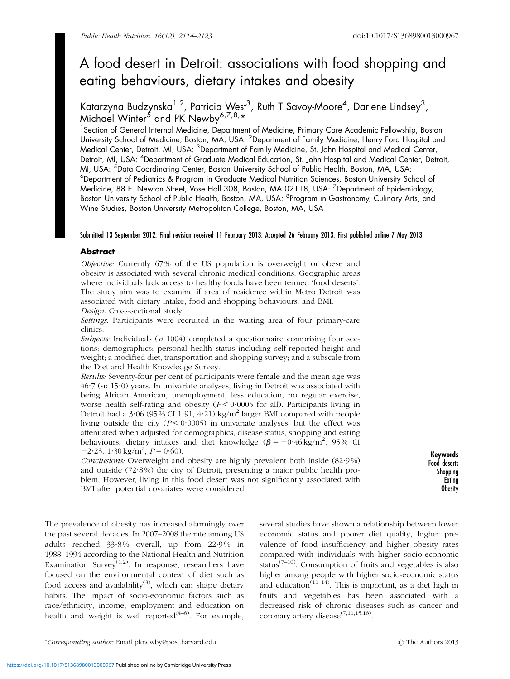# A food desert in Detroit: associations with food shopping and eating behaviours, dietary intakes and obesity

Katarzyna Budzynska<sup>1,2</sup>, Patricia West<sup>3</sup>, Ruth T Savoy-Moore<sup>4</sup>, Darlene Lindsey<sup>3</sup>, Michael Winter<sup>5</sup> and PK Newby<sup>6,7,8,</sup>\*

<sup>1</sup> Section of General Internal Medicine, Department of Medicine, Primary Care Academic Fellowship, Boston University School of Medicine, Boston, MA, USA: <sup>2</sup>Department of Family Medicine, Henry Ford Hospital and Medical Center, Detroit, MI, USA: <sup>3</sup>Department of Family Medicine, St. John Hospital and Medical Center, Detroit, MI, USA: <sup>4</sup>Department of Graduate Medical Education, St. John Hospital and Medical Center, Detroit, MI, USA: <sup>5</sup>Data Coordinating Center, Boston University School of Public Health, Boston, MA, USA: 6 Department of Pediatrics & Program in Graduate Medical Nutrition Sciences, Boston University School of Medicine, 88 E. Newton Street, Vose Hall 308, Boston, MA 02118, USA: <sup>7</sup>Department of Epidemiology, Boston University School of Public Health, Boston, MA, USA: <sup>8</sup>Program in Gastronomy, Culinary Arts, and Wine Studies, Boston University Metropolitan College, Boston, MA, USA

# Submitted 13 September 2012: Final revision received 11 February 2013: Accepted 26 February 2013: First published online 7 May 2013

# **Abstract**

Objective: Currently 67% of the US population is overweight or obese and obesity is associated with several chronic medical conditions. Geographic areas where individuals lack access to healthy foods have been termed 'food deserts'. The study aim was to examine if area of residence within Metro Detroit was associated with dietary intake, food and shopping behaviours, and BMI. Design: Cross-sectional study.

Settings: Participants were recruited in the waiting area of four primary-care clinics.

Subjects: Individuals  $(n 1004)$  completed a questionnaire comprising four sections: demographics; personal health status including self-reported height and weight; a modified diet, transportation and shopping survey; and a subscale from the Diet and Health Knowledge Survey.

Results: Seventy-four per cent of participants were female and the mean age was 46?7 (SD 15?0) years. In univariate analyses, living in Detroit was associated with being African American, unemployment, less education, no regular exercise, worse health self-rating and obesity ( $P < 0.0005$  for all). Participants living in Detroit had a 3.06 (95 % CI 1.91, 4.21) kg/m<sup>2</sup> larger BMI compared with people living outside the city  $(P < 0.0005)$  in univariate analyses, but the effect was attenuated when adjusted for demographics, disease status, shopping and eating behaviours, dietary intakes and diet knowledge  $(\beta = -0.46 \text{ kg/m}^2, 95\% \text{ CI})$  $-2.23$ ,  $1.30 \text{ kg/m}^2$ ,  $P = 0.60$ ).

Conclusions: Overweight and obesity are highly prevalent both inside (82.9%) and outside (72?8 %) the city of Detroit, presenting a major public health problem. However, living in this food desert was not significantly associated with BMI after potential covariates were considered.

Keywords Food deserts **Shopping Eating** Obesity

The prevalence of obesity has increased alarmingly over the past several decades. In 2007–2008 the rate among US adults reached 33.8% overall, up from 22.9% in 1988–1994 according to the National Health and Nutrition Examination Survey<sup> $(1,2)$  $(1,2)$ </sup>. In response, researchers have focused on the environmental context of diet such as food access and availability<sup>([3](#page-8-0))</sup>, which can shape dietary habits. The impact of socio-economic factors such as race/ethnicity, income, employment and education on health and weight is well reported $(4-6)$  $(4-6)$  $(4-6)$  $(4-6)$  $(4-6)$ . For example,

several studies have shown a relationship between lower economic status and poorer diet quality, higher prevalence of food insufficiency and higher obesity rates compared with individuals with higher socio-economic status<sup> $(7-10)$  $(7-10)$  $(7-10)$  $(7-10)$ </sup>. Consumption of fruits and vegetables is also higher among people with higher socio-economic status and education<sup>([11–14](#page-9-0))</sup>. This is important, as a diet high in fruits and vegetables has been associated with a decreased risk of chronic diseases such as cancer and coronary artery disease<sup> $(7,11,15,16)$  $(7,11,15,16)$  $(7,11,15,16)$  $(7,11,15,16)$  $(7,11,15,16)$ </sup>.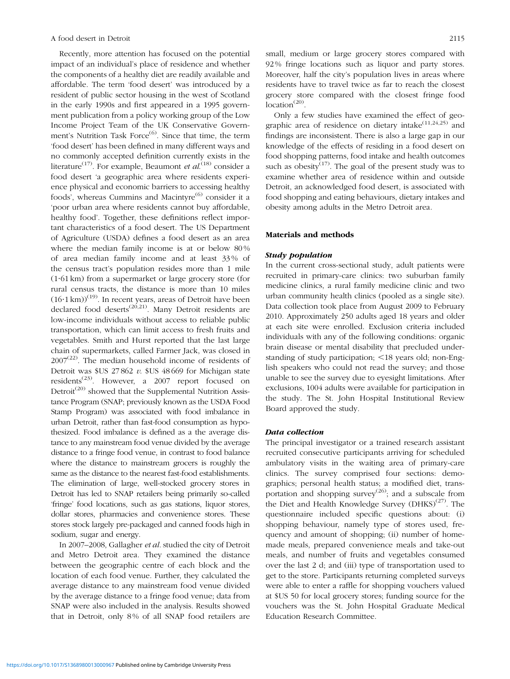Recently, more attention has focused on the potential impact of an individual's place of residence and whether the components of a healthy diet are readily available and affordable. The term 'food desert' was introduced by a resident of public sector housing in the west of Scotland in the early 1990s and first appeared in a 1995 government publication from a policy working group of the Low Income Project Team of the UK Conservative Govern-ment's Nutrition Task Force<sup>([6](#page-9-0))</sup>. Since that time, the term 'food desert' has been defined in many different ways and no commonly accepted definition currently exists in the literature<sup>[\(17](#page-9-0))</sup>. For example, Beaumont *et al*.<sup>[\(18](#page-9-0))</sup> consider a food desert 'a geographic area where residents experience physical and economic barriers to accessing healthy foods', whereas Cummins and Macintyre $^{(6)}$  $^{(6)}$  $^{(6)}$  consider it a 'poor urban area where residents cannot buy affordable, healthy food'. Together, these definitions reflect important characteristics of a food desert. The US Department of Agriculture (USDA) defines a food desert as an area where the median family income is at or below 80% of area median family income and at least 33 % of the census tract's population resides more than 1 mile (1?61 km) from a supermarket or large grocery store (for rural census tracts, the distance is more than 10 miles  $(16.1 \text{ km})$ <sup>[\(19](#page-9-0))</sup>. In recent years, areas of Detroit have been declared food deserts<sup> $(20,21)$  $(20,21)$ </sup>. Many Detroit residents are low-income individuals without access to reliable public transportation, which can limit access to fresh fruits and vegetables. Smith and Hurst reported that the last large chain of supermarkets, called Farmer Jack, was closed in  $2007<sup>(22)</sup>$  $2007<sup>(22)</sup>$  $2007<sup>(22)</sup>$ . The median household income of residents of Detroit was  $$US 27862 v. $US 48669$  for Michigan state residents<sup> $(23)$  $(23)$ </sup>. However, a 2007 report focused on Detroit<sup> $(20)$  $(20)$ </sup> showed that the Supplemental Nutrition Assistance Program (SNAP; previously known as the USDA Food Stamp Program) was associated with food imbalance in urban Detroit, rather than fast-food consumption as hypothesized. Food imbalance is defined as a the average distance to any mainstream food venue divided by the average distance to a fringe food venue, in contrast to food balance where the distance to mainstream grocers is roughly the same as the distance to the nearest fast-food establishments. The elimination of large, well-stocked grocery stores in Detroit has led to SNAP retailers being primarily so-called 'fringe' food locations, such as gas stations, liquor stores, dollar stores, pharmacies and convenience stores. These stores stock largely pre-packaged and canned foods high in sodium, sugar and energy.

In 2007–2008, Gallagher et al. studied the city of Detroit and Metro Detroit area. They examined the distance between the geographic centre of each block and the location of each food venue. Further, they calculated the average distance to any mainstream food venue divided by the average distance to a fringe food venue; data from SNAP were also included in the analysis. Results showed that in Detroit, only 8 % of all SNAP food retailers are small, medium or large grocery stores compared with 92 % fringe locations such as liquor and party stores. Moreover, half the city's population lives in areas where residents have to travel twice as far to reach the closest grocery store compared with the closest fringe food location<sup>[\(20\)](#page-9-0)</sup>.

Only a few studies have examined the effect of geographic area of residence on dietary intake $(11,24,25)$  $(11,24,25)$  and findings are inconsistent. There is also a large gap in our knowledge of the effects of residing in a food desert on food shopping patterns, food intake and health outcomes such as obesity<sup> $(17)$ </sup>. The goal of the present study was to examine whether area of residence within and outside Detroit, an acknowledged food desert, is associated with food shopping and eating behaviours, dietary intakes and obesity among adults in the Metro Detroit area.

# Materials and methods

#### Study population

In the current cross-sectional study, adult patients were recruited in primary-care clinics: two suburban family medicine clinics, a rural family medicine clinic and two urban community health clinics (pooled as a single site). Data collection took place from August 2009 to February 2010. Approximately 250 adults aged 18 years and older at each site were enrolled. Exclusion criteria included individuals with any of the following conditions: organic brain disease or mental disability that precluded understanding of study participation;  $\leq$  18 years old; non-English speakers who could not read the survey; and those unable to see the survey due to eyesight limitations. After exclusions, 1004 adults were available for participation in the study. The St. John Hospital Institutional Review Board approved the study.

#### Data collection

The principal investigator or a trained research assistant recruited consecutive participants arriving for scheduled ambulatory visits in the waiting area of primary-care clinics. The survey comprised four sections: demographics; personal health status; a modified diet, transportation and shopping survey<sup> $(26)$  $(26)$ </sup>; and a subscale from the Diet and Health Knowledge Survey (DHKS) $(27)$ . The questionnaire included specific questions about: (i) shopping behaviour, namely type of stores used, frequency and amount of shopping; (ii) number of homemade meals, prepared convenience meals and take-out meals, and number of fruits and vegetables consumed over the last 2 d; and (iii) type of transportation used to get to the store. Participants returning completed surveys were able to enter a raffle for shopping vouchers valued at \$US 50 for local grocery stores; funding source for the vouchers was the St. John Hospital Graduate Medical Education Research Committee.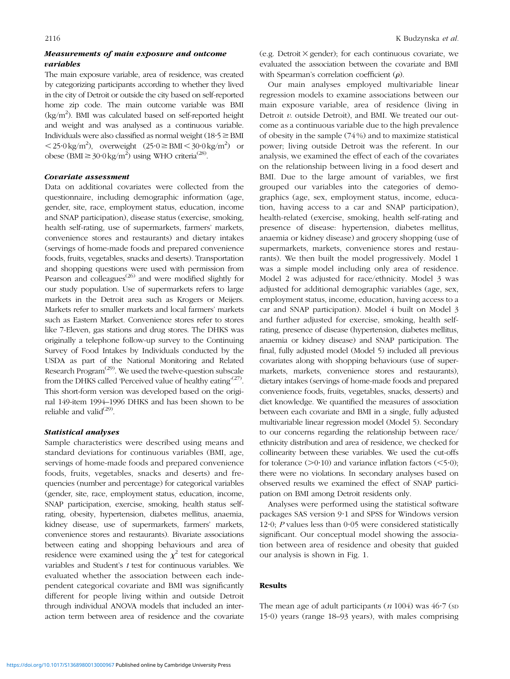# Measurements of main exposure and outcome variables

The main exposure variable, area of residence, was created by categorizing participants according to whether they lived in the city of Detroit or outside the city based on self-reported home zip code. The main outcome variable was BMI (kg/m<sup>2</sup>). BMI was calculated based on self-reported height and weight and was analysed as a continuous variable. Individuals were also classified as normal weight ( $18.5 \geq BMI$  $\langle 25.0 \text{ kg/m}^2 \rangle$ , overweight  $(25.0 \geq \text{BMI} \leq 30.0 \text{ kg/m}^2)$  or obese (BMI  $\geq 30.0 \text{ kg/m}^2$ ) using WHO criteria<sup>[\(28\)](#page-9-0)</sup>.

### Covariate assessment

Data on additional covariates were collected from the questionnaire, including demographic information (age, gender, site, race, employment status, education, income and SNAP participation), disease status (exercise, smoking, health self-rating, use of supermarkets, farmers' markets, convenience stores and restaurants) and dietary intakes (servings of home-made foods and prepared convenience foods, fruits, vegetables, snacks and deserts). Transportation and shopping questions were used with permission from Pearson and colleagues $^{(26)}$  $^{(26)}$  $^{(26)}$  and were modified slightly for our study population. Use of supermarkets refers to large markets in the Detroit area such as Krogers or Meijers. Markets refer to smaller markets and local farmers' markets such as Eastern Market. Convenience stores refer to stores like 7-Eleven, gas stations and drug stores. The DHKS was originally a telephone follow-up survey to the Continuing Survey of Food Intakes by Individuals conducted by the USDA as part of the National Monitoring and Related Research Program<sup>([29\)](#page-9-0)</sup>. We used the twelve-question subscale from the DHKS called 'Perceived value of healthy eating'<sup>[\(27](#page-9-0))</sup>. This short-form version was developed based on the original 149-item 1994–1996 DHKS and has been shown to be reliable and valid $^{(29)}$  $^{(29)}$  $^{(29)}$ .

### Statistical analyses

Sample characteristics were described using means and standard deviations for continuous variables (BMI, age, servings of home-made foods and prepared convenience foods, fruits, vegetables, snacks and deserts) and frequencies (number and percentage) for categorical variables (gender, site, race, employment status, education, income, SNAP participation, exercise, smoking, health status selfrating, obesity, hypertension, diabetes mellitus, anaemia, kidney disease, use of supermarkets, farmers' markets, convenience stores and restaurants). Bivariate associations between eating and shopping behaviours and area of residence were examined using the  $\chi^2$  test for categorical variables and Student's t test for continuous variables. We evaluated whether the association between each independent categorical covariate and BMI was significantly different for people living within and outside Detroit through individual ANOVA models that included an interaction term between area of residence and the covariate (e.g. Detroit  $\times$  gender); for each continuous covariate, we evaluated the association between the covariate and BMI with Spearman's correlation coefficient  $(\rho)$ .

Our main analyses employed multivariable linear regression models to examine associations between our main exposure variable, area of residence (living in Detroit  $v$ . outside Detroit), and BMI. We treated our outcome as a continuous variable due to the high prevalence of obesity in the sample (74 %) and to maximize statistical power; living outside Detroit was the referent. In our analysis, we examined the effect of each of the covariates on the relationship between living in a food desert and BMI. Due to the large amount of variables, we first grouped our variables into the categories of demographics (age, sex, employment status, income, education, having access to a car and SNAP participation), health-related (exercise, smoking, health self-rating and presence of disease: hypertension, diabetes mellitus, anaemia or kidney disease) and grocery shopping (use of supermarkets, markets, convenience stores and restaurants). We then built the model progressively. Model 1 was a simple model including only area of residence. Model 2 was adjusted for race/ethnicity. Model 3 was adjusted for additional demographic variables (age, sex, employment status, income, education, having access to a car and SNAP participation). Model 4 built on Model 3 and further adjusted for exercise, smoking, health selfrating, presence of disease (hypertension, diabetes mellitus, anaemia or kidney disease) and SNAP participation. The final, fully adjusted model (Model 5) included all previous covariates along with shopping behaviours (use of supermarkets, markets, convenience stores and restaurants), dietary intakes (servings of home-made foods and prepared convenience foods, fruits, vegetables, snacks, desserts) and diet knowledge. We quantified the measures of association between each covariate and BMI in a single, fully adjusted multivariable linear regression model (Model 5). Secondary to our concerns regarding the relationship between race/ ethnicity distribution and area of residence, we checked for collinearity between these variables. We used the cut-offs for tolerance  $(>0.10)$  and variance inflation factors  $(<5.0)$ ; there were no violations. In secondary analyses based on observed results we examined the effect of SNAP participation on BMI among Detroit residents only.

Analyses were performed using the statistical software packages SAS version 9.1 and SPSS for Windows version 12.0; P values less than 0.05 were considered statistically significant. Our conceptual model showing the association between area of residence and obesity that guided our analysis is shown in [Fig. 1](#page-3-0).

# Results

The mean age of adult participants  $(n 1004)$  was  $46.7$  (sp  $15·0$ ) years (range  $18-93$  years), with males comprising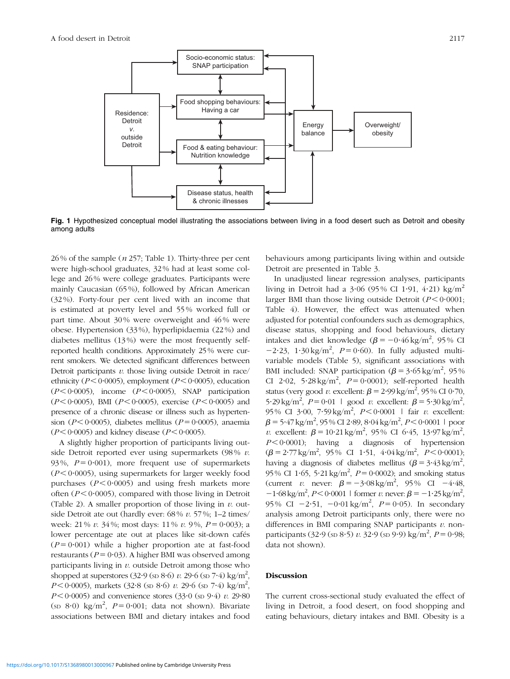<span id="page-3-0"></span>

Fig. 1 Hypothesized conceptual model illustrating the associations between living in a food desert such as Detroit and obesity among adults

 $26\%$  of the sample (*n* 257; [Table 1\)](#page-4-0). Thirty-three per cent were high-school graduates, 32 % had at least some college and 26 % were college graduates. Participants were mainly Caucasian (65 %), followed by African American (32 %). Forty-four per cent lived with an income that is estimated at poverty level and 55 % worked full or part time. About 30% were overweight and 46% were obese. Hypertension (33 %), hyperlipidaemia (22 %) and diabetes mellitus (13 %) were the most frequently selfreported health conditions. Approximately 25% were current smokers. We detected significant differences between Detroit participants  $v$ , those living outside Detroit in race/ ethnicity ( $P < 0.0005$ ), employment ( $P < 0.0005$ ), education  $(P < 0.0005)$ , income  $(P < 0.0005)$ , SNAP participation  $(P < 0.0005)$ , BMI  $(P < 0.0005)$ , exercise  $(P < 0.0005)$  and presence of a chronic disease or illness such as hypertension ( $P < 0.0005$ ), diabetes mellitus ( $P = 0.0005$ ), anaemia  $(P < 0.0005)$  and kidney disease  $(P < 0.0005)$ .

A slightly higher proportion of participants living outside Detroit reported ever using supermarkets  $(98\% v.$ 93%,  $P = 0.001$ , more frequent use of supermarkets  $(P < 0.0005)$ , using supermarkets for larger weekly food purchases  $(P < 0.0005)$  and using fresh markets more often ( $P < 0.0005$ ), compared with those living in Detroit ([Table 2](#page-5-0)). A smaller proportion of those living in  $v$ . outside Detroit ate out (hardly ever: 68% v. 57%; 1-2 times/ week: 21 % v. 34 %; most days: 11 % v. 9 %,  $P = 0.003$ ); a lower percentage ate out at places like sit-down cafés  $(P = 0.001)$  while a higher proportion ate at fast-food restaurants ( $P = 0.03$ ). A higher BMI was observed among participants living in  $\nu$  outside Detroit among those who shopped at superstores  $(32.9 \, (\text{sn } 8.6) \, v$ . 29.6  $(\text{sn } 7.4) \, \text{kg/m}^2$ ,  $P < 0.0005$ ), markets (32.8 (sp 8.6) v. 29.6 (sp 7.4) kg/m<sup>2</sup>,  $P < 0.0005$ ) and convenience stores (33.0 (sp 9.4) v. 29.80 (sp 8.0) kg/m<sup>2</sup>,  $P = 0.001$ ; data not shown). Bivariate associations between BMI and dietary intakes and food behaviours among participants living within and outside Detroit are presented in [Table 3.](#page-6-0)

In unadjusted linear regression analyses, participants living in Detroit had a  $3.06$  (95% CI 1.91, 4.21) kg/m<sup>2</sup> larger BMI than those living outside Detroit  $(P < 0.0001;$ [Table 4\)](#page-6-0). However, the effect was attenuated when adjusted for potential confounders such as demographics, disease status, shopping and food behaviours, dietary intakes and diet knowledge  $(\beta = -0.46 \text{ kg/m}^2, 95\% \text{ CI})$  $-2.23$ ,  $1.30 \text{ kg/m}^2$ ,  $P = 0.60$ ). In fully adjusted multivariable models [\(Table 5](#page-7-0)), significant associations with BMI included: SNAP participation ( $\beta = 3.65 \text{ kg/m}^2$ , 95% CI 2.02,  $5.28 \text{ kg/m}^2$ ,  $P = 0.0001$ ); self-reported health status (very good v. excellent:  $\beta = 2.99 \text{ kg/m}^2$ , 95 % CI 0.70, 5.29 kg/m<sup>2</sup>,  $P = 0.01$  | good v. excellent:  $\beta = 5.30$  kg/m<sup>2</sup>, 95% CI 3.00, 7.59 kg/m<sup>2</sup>,  $P < 0.0001$  | fair v. excellent:  $\beta$  = 5·47 kg/m<sup>2</sup>, 95 % CI 2·89, 8·04 kg/m<sup>2</sup>, *P* < 0·0001 | poor *v.* excellent:  $\beta = 10.21 \text{ kg/m}^2$ , 95% CI 6.45, 13.97 kg/m<sup>2</sup>,  $P \leq 0.0001$ ; having a diagnosis of hypertension  $(\beta = 2.77 \text{ kg/m}^2, 95\% \text{ CI } 1.51, 4.04 \text{ kg/m}^2, P < 0.0001);$ having a diagnosis of diabetes mellitus  $(\beta = 3.43 \text{ kg/m}^2)$ , 95% CI 1.65, 5.21 kg/m<sup>2</sup>,  $P = 0.0002$ ); and smoking status (current *v*. never:  $\beta = -3.08 \text{ kg/m}^2$ , 95% CI -4.48,  $-1.68 \,\mathrm{kg/m^2}$ ,  $P < 0.0001$  | former v. never:  $\beta = -1.25 \,\mathrm{kg/m^2}$ , 95% CI  $-2.51$ ,  $-0.01 \text{ kg/m}^2$ ,  $P = 0.05$ ). In secondary analysis among Detroit participants only, there were no differences in BMI comparing SNAP participants  $v$ . nonparticipants (32 $.9$  (sp 8 $.5$ ) v. 32 $.9$  (sp 9 $.9$ ) kg/m<sup>2</sup>, P = 0 $.98$ ; data not shown).

#### Discussion

The current cross-sectional study evaluated the effect of living in Detroit, a food desert, on food shopping and eating behaviours, dietary intakes and BMI. Obesity is a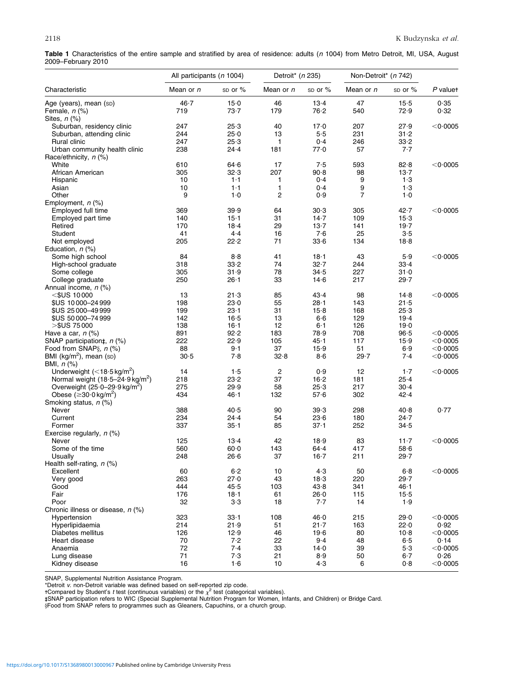<span id="page-4-0"></span>

| Table 1 Characteristics of the entire sample and stratified by area of residence: adults (n 1004) from Metro Detroit, MI, USA, August |  |  |  |  |  |  |  |  |
|---------------------------------------------------------------------------------------------------------------------------------------|--|--|--|--|--|--|--|--|
| 2009-February 2010                                                                                                                    |  |  |  |  |  |  |  |  |

|                                                   | All participants (n 1004) |           | Detroit* (n 235)<br>Non-Detroit* (n 742) |             |                |          |                    |  |
|---------------------------------------------------|---------------------------|-----------|------------------------------------------|-------------|----------------|----------|--------------------|--|
| Characteristic                                    | Mean or n                 | sp or $%$ | Mean or n                                | $SD$ or $%$ | Mean or n      | sp or %  | P valuet           |  |
| Age (years), mean (sp)                            | 46.7                      | $15-0$    | 46                                       | $13-4$      | 47             | $15-5$   | 0.35               |  |
| Female, n (%)                                     | 719                       | 73.7      | 179                                      | 76.2        | 540            | 72.9     | 0.32               |  |
| Sites, $n$ (%)                                    |                           |           |                                          |             |                |          |                    |  |
| Suburban, residency clinic                        | 247                       | 25.3      | 40                                       | 17.0        | 207            | 27.9     | $<$ 0 $\cdot$ 0005 |  |
| Suburban, attending clinic                        | 244                       | 25.0      | 13                                       | 5.5         | 231            | $31 - 2$ |                    |  |
| Rural clinic                                      | 247                       | 25.3      | 1                                        | 0.4         | 246            | 33.2     |                    |  |
| Urban community health clinic                     | 238                       | $24 - 4$  | 181                                      | 77.0        | 57             | 7.7      |                    |  |
| Race/ethnicity, n (%)                             |                           |           |                                          |             |                |          |                    |  |
| White                                             | 610                       | 64.6      | 17                                       | 7.5         | 593            | 82.8     | $<$ 0.0005         |  |
| African American                                  | 305                       | 32.3      | 207                                      | 90.8        | 98             | $13 - 7$ |                    |  |
| Hispanic                                          | 10                        | 1·1       | 1                                        | 0.4         | 9              | 1.3      |                    |  |
| Asian                                             | 10                        | 1·1       | 1                                        | 0.4         | 9              | 1.3      |                    |  |
| Other                                             | 9                         | 1.0       | $\overline{c}$                           | 0.9         | $\overline{7}$ | 1.0      |                    |  |
| Employment, n (%)                                 |                           |           |                                          |             |                |          |                    |  |
| Employed full time                                | 369                       | 39.9      | 64                                       | 30.3        | 305            | $42 - 7$ | $<$ 0 $\cdot$ 0005 |  |
| Employed part time                                | 140                       | $15 - 1$  | 31                                       | 14.7        | 109            | $15-3$   |                    |  |
| Retired                                           | 170                       | $18 - 4$  | 29                                       | $13-7$      | 141            | 19.7     |                    |  |
| Student                                           | 41                        | $4-4$     | 16                                       | 7.6         | 25             | 3.5      |                    |  |
| Not employed                                      | 205                       | 22.2      | 71                                       | 33.6        | 134            | 18.8     |                    |  |
| Education, $n$ (%)                                |                           |           |                                          |             |                |          |                    |  |
| Some high school                                  | 84                        | 8.8       | 41                                       | $18 - 1$    | 43             | 5.9      | $<$ 0.0005         |  |
| High-school graduate                              | 318                       | 33.2      | 74                                       | 32.7        | 244            | 33.4     |                    |  |
| Some college                                      | 305                       | 31.9      | 78                                       | 34.5        | 227            | 31.0     |                    |  |
| College graduate                                  | 250                       | $26 - 1$  | 33                                       | 14.6        | 217            | $29 - 7$ |                    |  |
| Annual income, n (%)                              |                           |           |                                          |             |                |          |                    |  |
| $<$ \$US 10000                                    | 13                        | 21.3      | 85                                       | 43.4        | 98             | 14.8     | $<$ 0 $\cdot$ 0005 |  |
| \$US 10000-24999                                  | 198                       | 23.0      | 55                                       | $28 - 1$    | 143            | 21.5     |                    |  |
| \$US 25000-49999                                  | 199                       | $23 - 1$  | 31                                       | 15.8        | 168            | 25.3     |                    |  |
| \$US 50000-74999                                  | 142                       | $16-5$    | 13                                       | 6.6         | 129            | $19-4$   |                    |  |
| $>$ \$US 75000                                    | 138                       | $16 - 1$  | 12                                       | $6-1$       | 126            | 19.0     |                    |  |
| Have a car, $n$ (%)                               | 891                       | 92.2      | 183                                      | 78.9        | 708            | 96.5     | $<$ 0 $\cdot$ 0005 |  |
| SNAP participation $\ddagger$ , n (%)             | 222                       | 22.9      | 105                                      | 45.1        | 117            | 15.9     | $<$ 0.0005         |  |
| Food from SNAP§, n (%)                            | 88                        | $9-1$     | 37                                       | 15.9        | 51             | 6.9      | $<$ 0.0005         |  |
| BMI ( $kg/m2$ ), mean (sp)                        | 30.5                      | 7.8       | 32.8                                     | 8.6         | 29.7           | 7.4      | $<$ 0 $\cdot$ 0005 |  |
| BMI, $n$ (%)                                      |                           |           |                                          |             |                |          |                    |  |
| Underweight $(<$ 18 $\cdot$ 5 kg/m <sup>2</sup> ) | 14                        | 1.5       | $\overline{c}$                           | 0.9         | 12             | $1-7$    | $<$ 0 $\cdot$ 0005 |  |
| Normal weight $(18.5 - 24.9 \text{ kg/m}^2)$      | 218                       | 23.2      | 37                                       | $16 - 2$    | 181            | $25 - 4$ |                    |  |
| Overweight $(25.0-29.9 \text{ kg/m}^2)$           | 275                       | 29.9      | 58                                       | 25.3        | 217            | $30 - 4$ |                    |  |
| Obese ( $\geq$ 30 $\cdot$ 0 kg/m <sup>2</sup> )   | 434                       | $46 - 1$  | 132                                      | 57.6        | 302            | 42.4     |                    |  |
| Smoking status, n (%)                             |                           |           |                                          |             |                |          |                    |  |
| Never                                             | 388                       | 40.5      | 90                                       | 39.3        | 298            | 40.8     | 0.77               |  |
| Current                                           | 234                       | $24 - 4$  | 54                                       | 23.6        | 180            | $24 - 7$ |                    |  |
| Former                                            | 337                       | $35 - 1$  | 85                                       | $37 - 1$    | 252            | 34.5     |                    |  |
| Exercise regularly, $n$ (%)                       |                           |           |                                          |             |                |          |                    |  |
| Never                                             | 125                       | $13-4$    | 42                                       | 18.9        | 83             | $11 - 7$ | $<$ 0 $\cdot$ 0005 |  |
| Some of the time                                  | 560                       | $60 - 0$  | 143                                      | $64 - 4$    | 417            | 58.6     |                    |  |
| Usually                                           | 248                       | 26·6      | 37                                       | $16 - 7$    | 211            | 29.7     |                    |  |
| Health self-rating, n (%)                         |                           |           |                                          |             |                |          |                    |  |
| Excellent                                         | 60                        | $6-2$     | 10                                       | 4.3         | 50             | 6.8      | $<$ 0.0005         |  |
| Very good                                         | 263                       | 27.0      | 43                                       | 18.3        | 220            | 29.7     |                    |  |
| Good                                              | 444                       | 45.5      | 103                                      | 43.8        | 341            | 46∙1     |                    |  |
| Fair                                              | 176                       | $18 - 1$  | 61                                       | 26.0        | 115            | $15-5$   |                    |  |
| Poor                                              | 32                        | 3·3       | 18                                       | 7.7         | 14             | 1.9      |                    |  |
| Chronic illness or disease, n (%)                 |                           |           |                                          |             |                |          |                    |  |
| Hypertension                                      | 323                       | $33 - 1$  | 108                                      | 46.0        | 215            | 29.0     | $<$ 0.0005         |  |
| Hyperlipidaemia                                   | 214                       | 21.9      | 51                                       | $21 - 7$    | 163            | 22.0     | 0.92               |  |
| Diabetes mellitus                                 | 126                       | 12.9      | 46                                       | 19.6        | 80             | $10-8$   | $<$ 0 $\cdot$ 0005 |  |
| Heart disease                                     | 70                        | 7.2       | 22                                       | $9-4$       | 48             | 6.5      | 0.14               |  |
| Anaemia                                           | 72                        | 7.4       | 33                                       | 14.0        | 39             | 5·3      | $<$ 0.0005         |  |
| Lung disease                                      | 71                        | 7.3       | 21                                       | 8.9         | 50             | $6-7$    | 0.26               |  |
| Kidney disease                                    | 16                        | 1·6       | 10                                       | 4.3         | 6              | 0.8      | $<$ 0.0005         |  |
|                                                   |                           |           |                                          |             |                |          |                    |  |

SNAP, Supplemental Nutrition Assistance Program.<br>\*Detroit *v*. non-Detroit variable was defined based on self-reported zip code.<br>†Compared by Student's *t* test (continuous variables) or the  $\chi^2$  test (categorical variab

yFood from SNAP refers to programmes such as Gleaners, Capuchins, or a church group.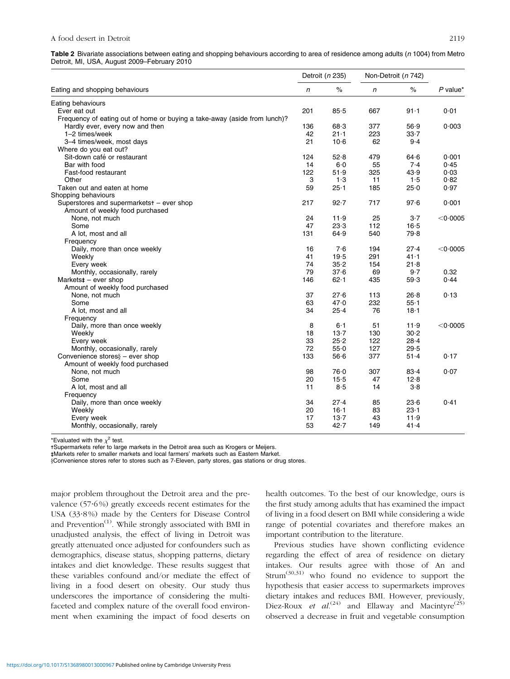<span id="page-5-0"></span>Table 2 Bivariate associations between eating and shopping behaviours according to area of residence among adults (n 1004) from Metro Detroit, MI, USA, August 2009–February 2010

|                                                                           |     | Detroit (n 235) | Non-Detroit (n 742) |          |            |
|---------------------------------------------------------------------------|-----|-----------------|---------------------|----------|------------|
| Eating and shopping behaviours                                            | n   | $\%$            | n                   | $\%$     | $P$ value* |
| Eating behaviours                                                         |     |                 |                     |          |            |
| Ever eat out                                                              | 201 | 85.5            | 667                 | $91 - 1$ | 0.01       |
| Frequency of eating out of home or buying a take-away (aside from lunch)? |     |                 |                     |          |            |
| Hardly ever, every now and then                                           | 136 | 68.3            | 377                 | 56.9     | 0.003      |
| 1-2 times/week                                                            | 42  | $21 - 1$        | 223                 | $33 - 7$ |            |
| 3-4 times/week, most days                                                 | 21  | $10-6$          | 62                  | $9-4$    |            |
| Where do you eat out?                                                     |     |                 |                     |          |            |
| Sit-down café or restaurant                                               | 124 | 52.8            | 479                 | 64.6     | 0.001      |
| Bar with food                                                             | 14  | $6-0$           | 55                  | 7.4      | 0.45       |
| Fast-food restaurant                                                      | 122 | 51.9            | 325                 | 43.9     | 0.03       |
| Other                                                                     | 3   | 1.3             | 11                  | 1.5      | 0.82       |
| Taken out and eaten at home                                               | 59  | $25 - 1$        | 185                 | 25.0     | 0.97       |
| Shopping behaviours                                                       |     |                 |                     |          |            |
| Superstores and supermarketst - ever shop                                 | 217 | 92.7            | 717                 | 97.6     | 0.001      |
| Amount of weekly food purchased                                           |     |                 |                     |          |            |
| None, not much                                                            | 24  | 11.9            | 25                  | $3-7$    | $<$ 0.0005 |
| Some                                                                      | 47  | 23.3            | 112                 | $16 - 5$ |            |
| A lot, most and all                                                       | 131 | 64.9            | 540                 | 79.8     |            |
| Frequency                                                                 |     |                 |                     |          |            |
| Daily, more than once weekly                                              | 16  | 7.6             | 194                 | 27.4     | $<$ 0.0005 |
| Weekly                                                                    | 41  | 19.5            | 291                 | $41 - 1$ |            |
| Every week                                                                | 74  | 35.2            | 154                 | 21.8     |            |
| Monthly, occasionally, rarely                                             | 79  | 37.6            | 69                  | 9.7      | 0.32       |
| Markets $\ddagger$ – ever shop                                            | 146 | 62.1            | 435                 | 59.3     | 0.44       |
| Amount of weekly food purchased                                           |     |                 |                     |          |            |
| None, not much                                                            | 37  | 27.6            | 113                 | 26.8     | 0.13       |
| Some                                                                      | 63  | 47.0            | 232                 | $55 - 1$ |            |
| A lot, most and all                                                       | 34  | $25 - 4$        | 76                  | $18 - 1$ |            |
|                                                                           |     |                 |                     |          |            |
| Frequency<br>Daily, more than once weekly                                 | 8   | $6-1$           | 51                  | 11.9     | $<$ 0.0005 |
| Weekly                                                                    | 18  | 13.7            | 130                 | 30.2     |            |
|                                                                           | 33  | 25.2            | 122                 | $28 - 4$ |            |
| Every week                                                                | 72  |                 | 127                 |          |            |
| Monthly, occasionally, rarely                                             |     | 55.0            |                     | 29.5     |            |
| Convenience stores $\S$ – ever shop                                       | 133 | 56.6            | 377                 | $51 - 4$ | 0.17       |
| Amount of weekly food purchased                                           |     |                 |                     |          |            |
| None, not much                                                            | 98  | 76.0            | 307                 | 83.4     | 0.07       |
| Some                                                                      | 20  | 15.5            | 47                  | 12.8     |            |
| A lot, most and all                                                       | 11  | 8.5             | 14                  | 3.8      |            |
| Frequency                                                                 |     |                 |                     |          |            |
| Daily, more than once weekly                                              | 34  | 27.4            | 85                  | 23.6     | 0.41       |
| Weekly                                                                    | 20  | $16 - 1$        | 83                  | $23 - 1$ |            |
| Every week                                                                | 17  | $13-7$          | 43                  | 11.9     |            |
| Monthly, occasionally, rarely                                             | 53  | 42.7            | 149                 | 41.4     |            |

\*Evaluated with the  $\chi^2$  test.

-Supermarkets refer to large markets in the Detroit area such as Krogers or Meijers.

- - Markets refer to smaller markets and local farmers' markets such as Eastern Market.

yConvenience stores refer to stores such as 7-Eleven, party stores, gas stations or drug stores.

major problem throughout the Detroit area and the prevalence  $(57.6%)$  greatly exceeds recent estimates for the USA (33?8 %) made by the Centers for Disease Control and Prevention $<sup>(1)</sup>$  $<sup>(1)</sup>$  $<sup>(1)</sup>$ . While strongly associated with BMI in</sup> unadjusted analysis, the effect of living in Detroit was greatly attenuated once adjusted for confounders such as demographics, disease status, shopping patterns, dietary intakes and diet knowledge. These results suggest that these variables confound and/or mediate the effect of living in a food desert on obesity. Our study thus underscores the importance of considering the multifaceted and complex nature of the overall food environment when examining the impact of food deserts on health outcomes. To the best of our knowledge, ours is the first study among adults that has examined the impact of living in a food desert on BMI while considering a wide range of potential covariates and therefore makes an important contribution to the literature.

Previous studies have shown conflicting evidence regarding the effect of area of residence on dietary intakes. Our results agree with those of An and Strum([30,31\)](#page-9-0) who found no evidence to support the hypothesis that easier access to supermarkets improves dietary intakes and reduces BMI. However, previously, Diez-Roux et al.<sup>[\(24](#page-9-0))</sup> and Ellaway and Macintyre<sup>[\(25](#page-9-0))</sup> observed a decrease in fruit and vegetable consumption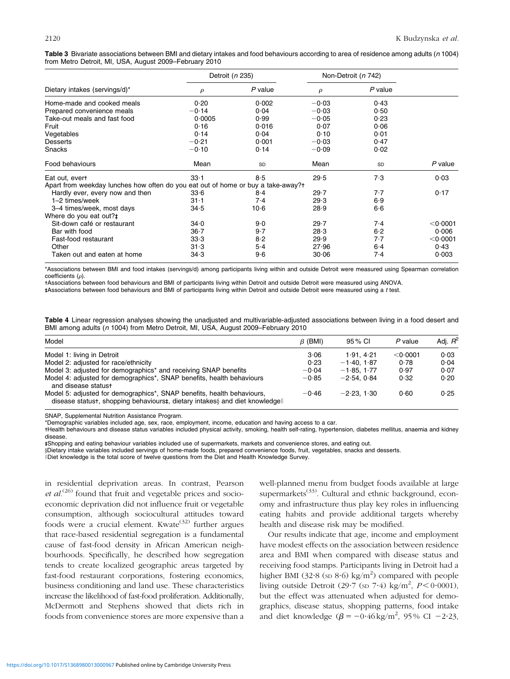<span id="page-6-0"></span>

| Table 3 Bivariate associations between BMI and dietary intakes and food behaviours according to area of residence among adults (n 1004) |  |  |  |
|-----------------------------------------------------------------------------------------------------------------------------------------|--|--|--|
| from Metro Detroit, MI, USA, August 2009–February 2010                                                                                  |  |  |  |

|                                                                                  | Detroit (n 235) |           |         | Non-Detroit (n 742) |                    |
|----------------------------------------------------------------------------------|-----------------|-----------|---------|---------------------|--------------------|
| Dietary intakes (servings/d)*                                                    | $\rho$          | $P$ value | ρ       | $P$ value           |                    |
| Home-made and cooked meals                                                       | 0.20            | 0.002     | $-0.03$ | 0.43                |                    |
| Prepared convenience meals                                                       | $-0.14$         | 0.04      | $-0.03$ | 0.50                |                    |
| Take-out meals and fast food                                                     | 0.0005          | 0.99      | $-0.05$ | 0.23                |                    |
| Fruit                                                                            | 0.16            | 0.016     | 0.07    | 0.06                |                    |
| Vegetables                                                                       | 0.14            | 0.04      | 0.10    | 0.01                |                    |
| <b>Desserts</b>                                                                  | $-0.21$         | 0.001     | $-0.03$ | 0.47                |                    |
| Snacks                                                                           | $-0.10$         | 0.14      | $-0.09$ | 0.02                |                    |
| Food behaviours                                                                  | Mean            | <b>SD</b> | Mean    | <b>SD</b>           | $P$ value          |
| Eat out, evert                                                                   | $33 - 1$        | 8.5       | 29.5    | 7.3                 | 0.03               |
| Apart from weekday lunches how often do you eat out of home or buy a take-away?+ |                 |           |         |                     |                    |
| Hardly ever, every now and then                                                  | 33.6            | $8-4$     | 29.7    | 7.7                 | 0.17               |
| 1-2 times/week                                                                   | $31 - 1$        | $7-4$     | 29.3    | 6.9                 |                    |
| 3-4 times/week, most days                                                        | 34.5            | $10-6$    | 28.9    | 6.6                 |                    |
| Where do you eat out?#                                                           |                 |           |         |                     |                    |
| Sit-down café or restaurant                                                      | 34.0            | 9·0       | 29.7    | 7.4                 | $<$ 0 $\cdot$ 0001 |
| Bar with food                                                                    | $36 - 7$        | 9.7       | 28.3    | $6-2$               | 0.006              |
| Fast-food restaurant                                                             | 33.3            | 8.2       | 29.9    | 7.7                 | $<$ 0 $\cdot$ 0001 |
| Other                                                                            | 31.3            | $5-4$     | 27.96   | $6-4$               | 0.43               |
| Taken out and eaten at home                                                      | 34.3            | 9·6       | 30.06   | 7.4                 | 0.003              |

\*Associations between BMI and food intakes (servings/d) among participants living within and outside Detroit were measured using Spearman correlation  $coefficients (a)$ .

-Associations between food behaviours and BMI of participants living within Detroit and outside Detroit were measured using ANOVA.

- - Associations between food behaviours and BMI of participants living within Detroit and outside Detroit were measured using a t test.

Table 4 Linear regression analyses showing the unadjusted and multivariable-adjusted associations between living in a food desert and BMI among adults (n 1004) from Metro Detroit, MI, USA, August 2009–February 2010

| Model                                                                                                                                                 | $\beta$ (BMI) | 95 % CI      | P value    | Adj. $R^2$ |
|-------------------------------------------------------------------------------------------------------------------------------------------------------|---------------|--------------|------------|------------|
| Model 1: living in Detroit                                                                                                                            | 3.06          | 1.91.4.21    | $<$ 0.0001 | 0.03       |
| Model 2: adjusted for race/ethnicity                                                                                                                  | 0.23          | $-1.40.1.87$ | 0.78       | 0.04       |
| Model 3: adjusted for demographics* and receiving SNAP benefits                                                                                       | $-0.04$       | $-1.85.1.77$ | 0.97       | 0.07       |
| Model 4: adjusted for demographics*, SNAP benefits, health behaviours<br>and disease statust                                                          | $-0.85$       | $-2.54.0.84$ | 0.32       | 0.20       |
| Model 5: adjusted for demographics*, SNAP benefits, health behaviours,<br>disease statust, shopping behaviourst, dietary intakes and diet knowledgell | $-0.46$       | $-2.23.130$  | 0.60       | 0.25       |

SNAP, Supplemental Nutrition Assistance Program.

\*Demographic variables included age, sex, race, employment, income, education and having access to a car.

-Health behaviours and disease status variables included physical activity, smoking, health self-rating, hypertension, diabetes mellitus, anaemia and kidney disease.

- - Shopping and eating behaviour variables included use of supermarkets, markets and convenience stores, and eating out.

yDietary intake variables included servings of home-made foods, prepared convenience foods, fruit, vegetables, snacks and desserts.

lDiet knowledge is the total score of twelve questions from the Diet and Health Knowledge Survey.

in residential deprivation areas. In contrast, Pearson et  $al$ .<sup>[\(26\)](#page-9-0)</sup> found that fruit and vegetable prices and socioeconomic deprivation did not influence fruit or vegetable consumption, although sociocultural attitudes toward foods were a crucial element. Kwate $(32)$  $(32)$  further argues that race-based residential segregation is a fundamental cause of fast-food density in African American neighbourhoods. Specifically, he described how segregation tends to create localized geographic areas targeted by fast-food restaurant corporations, fostering economics, business conditioning and land use. These characteristics increase the likelihood of fast-food proliferation. Additionally, McDermott and Stephens showed that diets rich in foods from convenience stores are more expensive than a

well-planned menu from budget foods available at large supermarkets<sup>[\(33](#page-9-0))</sup>. Cultural and ethnic background, economy and infrastructure thus play key roles in influencing eating habits and provide additional targets whereby health and disease risk may be modified.

Our results indicate that age, income and employment have modest effects on the association between residence area and BMI when compared with disease status and receiving food stamps. Participants living in Detroit had a higher BMI (32 $\cdot$ 8 (sp 8 $\cdot$ 6) kg/m<sup>2</sup>) compared with people living outside Detroit (29.7 (sp 7.4) kg/m<sup>2</sup>,  $P < 0.0001$ ), but the effect was attenuated when adjusted for demographics, disease status, shopping patterns, food intake and diet knowledge  $(\beta = -0.46 \text{ kg/m}^2, 95\% \text{ CI } -2.23,$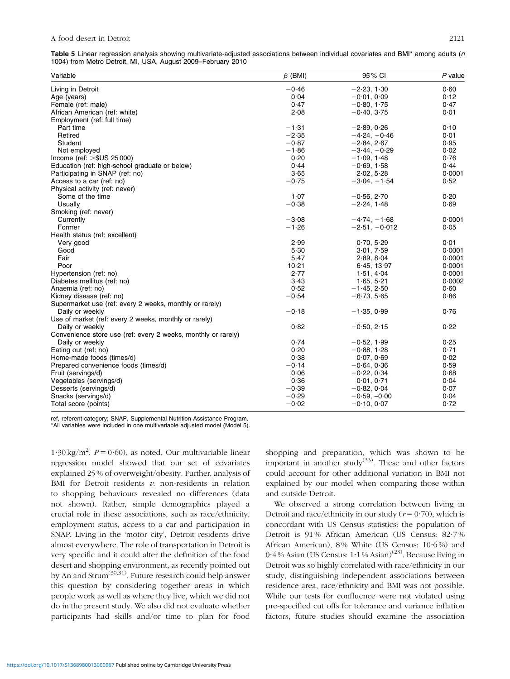<span id="page-7-0"></span>

| Table 5 Linear regression analysis showing multivariate-adjusted associations between individual covariates and BMI* among adults (n |  |  |  |  |  |
|--------------------------------------------------------------------------------------------------------------------------------------|--|--|--|--|--|
| 1004) from Metro Detroit, MI, USA, August 2009–February 2010                                                                         |  |  |  |  |  |

| Variable                                                      | $\beta$ (BMI) | 95% CI          | $P$ value |
|---------------------------------------------------------------|---------------|-----------------|-----------|
| Living in Detroit                                             | $-0.46$       | $-2.23, 1.30$   | 0.60      |
| Age (years)                                                   | 0.04          | $-0.01, 0.09$   | 0.12      |
| Female (ref: male)                                            | 0.47          | $-0.80, 1.75$   | 0.47      |
| African American (ref: white)                                 | 2.08          | $-0.40, 3.75$   | 0.01      |
| Employment (ref: full time)                                   |               |                 |           |
| Part time                                                     | $-1.31$       | $-2.89, 0.26$   | 0.10      |
| Retired                                                       | $-2.35$       | $-4.24, -0.46$  | 0.01      |
| Student                                                       | $-0.87$       | $-2.84, 2.67$   | 0.95      |
| Not employed                                                  | $-1.86$       | $-3.44, -0.29$  | 0.02      |
| Income (ref: $>$ \$US 25000)                                  | 0.20          | $-1.09, 1.48$   | 0.76      |
| Education (ref: high-school graduate or below)                | 0.44          | $-0.69, 1.58$   | 0.44      |
| Participating in SNAP (ref: no)                               | 3.65          | 2.02, 5.28      | 0.0001    |
| Access to a car (ref: no)                                     | $-0.75$       | $-3.04, -1.54$  | 0.52      |
| Physical activity (ref: never)                                |               |                 |           |
| Some of the time                                              | 1.07          | $-0.56, 2.70$   | 0.20      |
| Usually                                                       | $-0.38$       | $-2.24, 1.48$   | 0.69      |
| Smoking (ref: never)                                          |               |                 |           |
| Currently                                                     | $-3.08$       | $-4.74, -1.68$  | 0.0001    |
| Former                                                        | $-1.26$       | $-2.51, -0.012$ | 0.05      |
| Health status (ref: excellent)                                |               |                 |           |
| Very good                                                     | 2.99          | 0.70, 5.29      | 0.01      |
| Good                                                          | 5.30          | 3.01, 7.59      | 0.0001    |
| Fair                                                          | 5.47          | 2.89, 8.04      | 0.0001    |
| Poor                                                          | 10.21         | 6.45, 13.97     | 0.0001    |
| Hypertension (ref: no)                                        | 2.77          | 1.51, 4.04      | 0.0001    |
| Diabetes mellitus (ref: no)                                   | 3.43          | 1.65, 5.21      | 0.0002    |
| Anaemia (ref: no)                                             | 0.52          | $-1.45, 2.50$   | 0.60      |
| Kidney disease (ref: no)                                      | $-0.54$       | $-6.73, 5.65$   | 0.86      |
| Supermarket use (ref: every 2 weeks, monthly or rarely)       |               |                 |           |
| Daily or weekly                                               | $-0.18$       | $-1.35, 0.99$   | 0.76      |
| Use of market (ref: every 2 weeks, monthly or rarely)         |               |                 |           |
| Daily or weekly                                               | 0.82          | $-0.50, 2.15$   | 0.22      |
| Convenience store use (ref: every 2 weeks, monthly or rarely) |               |                 |           |
| Daily or weekly                                               | 0.74          | $-0.52, 1.99$   | 0.25      |
| Eating out (ref: no)                                          | 0.20          | $-0.88, 1.28$   | 0.71      |
| Home-made foods (times/d)                                     | 0.38          | 0.07, 0.69      | 0.02      |
| Prepared convenience foods (times/d)                          | $-0.14$       | $-0.64, 0.36$   | 0.59      |
| Fruit (servings/d)                                            | 0.06          | $-0.22, 0.34$   | 0.68      |
| Vegetables (servings/d)                                       | 0.36          | 0.01, 0.71      | 0.04      |
| Desserts (servings/d)                                         | $-0.39$       | $-0.82, 0.04$   | 0.07      |
| Snacks (servings/d)                                           | $-0.29$       | $-0.59, -0.00$  | 0.04      |
| Total score (points)                                          | $-0.02$       | $-0.10, 0.07$   | 0.72      |
|                                                               |               |                 |           |

ref, referent category; SNAP, Supplemental Nutrition Assistance Program.

\*All variables were included in one multivariable adjusted model (Model 5).

 $1.30 \text{ kg/m}^2$ ,  $P = 0.60$ ), as noted. Our multivariable linear regression model showed that our set of covariates explained 25 % of overweight/obesity. Further, analysis of BMI for Detroit residents  $v$ . non-residents in relation to shopping behaviours revealed no differences (data not shown). Rather, simple demographics played a crucial role in these associations, such as race/ethnicity, employment status, access to a car and participation in SNAP. Living in the 'motor city', Detroit residents drive almost everywhere. The role of transportation in Detroit is very specific and it could alter the definition of the food desert and shopping environment, as recently pointed out by An and Strum<sup>[\(30,31](#page-9-0))</sup>. Future research could help answer this question by considering together areas in which people work as well as where they live, which we did not do in the present study. We also did not evaluate whether participants had skills and/or time to plan for food shopping and preparation, which was shown to be important in another study<sup>[\(33](#page-9-0))</sup>. These and other factors could account for other additional variation in BMI not explained by our model when comparing those within and outside Detroit.

We observed a strong correlation between living in Detroit and race/ethnicity in our study ( $r = 0.70$ ), which is concordant with US Census statistics: the population of Detroit is 91 % African American (US Census: 82?7 % African American), 8% White (US Census: 10.6%) and  $0.4\%$  Asian (US Census:  $1.1\%$  Asian)<sup>[\(23](#page-9-0))</sup>. Because living in Detroit was so highly correlated with race/ethnicity in our study, distinguishing independent associations between residence area, race/ethnicity and BMI was not possible. While our tests for confluence were not violated using pre-specified cut offs for tolerance and variance inflation factors, future studies should examine the association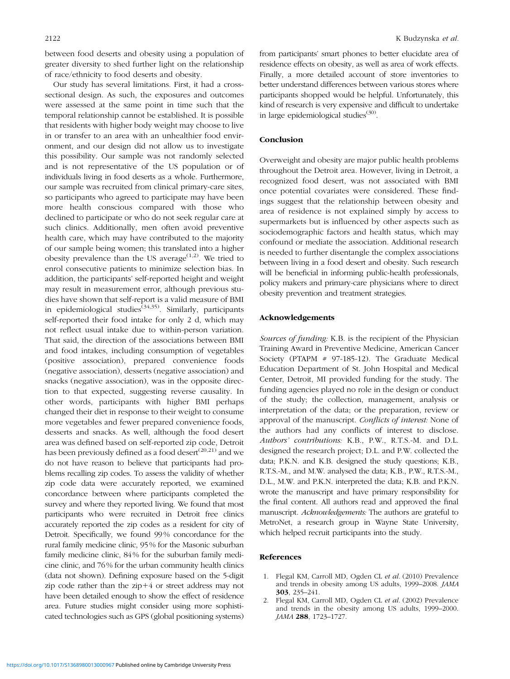<span id="page-8-0"></span>between food deserts and obesity using a population of greater diversity to shed further light on the relationship of race/ethnicity to food deserts and obesity.

Our study has several limitations. First, it had a crosssectional design. As such, the exposures and outcomes were assessed at the same point in time such that the temporal relationship cannot be established. It is possible that residents with higher body weight may choose to live in or transfer to an area with an unhealthier food environment, and our design did not allow us to investigate this possibility. Our sample was not randomly selected and is not representative of the US population or of individuals living in food deserts as a whole. Furthermore, our sample was recruited from clinical primary-care sites, so participants who agreed to participate may have been more health conscious compared with those who declined to participate or who do not seek regular care at such clinics. Additionally, men often avoid preventive health care, which may have contributed to the majority of our sample being women; this translated into a higher obesity prevalence than the US average<sup> $(1,2)$ </sup>. We tried to enrol consecutive patients to minimize selection bias. In addition, the participants' self-reported height and weight may result in measurement error, although previous studies have shown that self-report is a valid measure of BMI in epidemiological studies<sup> $(34,35)$  $(34,35)$ </sup>. Similarly, participants self-reported their food intake for only 2 d, which may not reflect usual intake due to within-person variation. That said, the direction of the associations between BMI and food intakes, including consumption of vegetables (positive association), prepared convenience foods (negative association), desserts (negative association) and snacks (negative association), was in the opposite direction to that expected, suggesting reverse causality. In other words, participants with higher BMI perhaps changed their diet in response to their weight to consume more vegetables and fewer prepared convenience foods, desserts and snacks. As well, although the food desert area was defined based on self-reported zip code, Detroit has been previously defined as a food desert<sup> $(20,21)$  $(20,21)$ </sup> and we do not have reason to believe that participants had problems recalling zip codes. To assess the validity of whether zip code data were accurately reported, we examined concordance between where participants completed the survey and where they reported living. We found that most participants who were recruited in Detroit free clinics accurately reported the zip codes as a resident for city of Detroit. Specifically, we found 99% concordance for the rural family medicine clinic, 95% for the Masonic suburban family medicine clinic, 84% for the suburban family medicine clinic, and 76% for the urban community health clinics (data not shown). Defining exposure based on the 5-digit zip code rather than the  $zip+4$  or street address may not have been detailed enough to show the effect of residence area. Future studies might consider using more sophisticated technologies such as GPS (global positioning systems) from participants' smart phones to better elucidate area of residence effects on obesity, as well as area of work effects. Finally, a more detailed account of store inventories to better understand differences between various stores where participants shopped would be helpful. Unfortunately, this kind of research is very expensive and difficult to undertake in large epidemiological studies $(30)$ .

#### Conclusion

Overweight and obesity are major public health problems throughout the Detroit area. However, living in Detroit, a recognized food desert, was not associated with BMI once potential covariates were considered. These findings suggest that the relationship between obesity and area of residence is not explained simply by access to supermarkets but is influenced by other aspects such as sociodemographic factors and health status, which may confound or mediate the association. Additional research is needed to further disentangle the complex associations between living in a food desert and obesity. Such research will be beneficial in informing public-health professionals, policy makers and primary-care physicians where to direct obesity prevention and treatment strategies.

#### Acknowledgements

Sources of funding: K.B. is the recipient of the Physician Training Award in Preventive Medicine, American Cancer Society (PTAPM  $#$  97-185-12). The Graduate Medical Education Department of St. John Hospital and Medical Center, Detroit, MI provided funding for the study. The funding agencies played no role in the design or conduct of the study; the collection, management, analysis or interpretation of the data; or the preparation, review or approval of the manuscript. Conflicts of interest: None of the authors had any conflicts of interest to disclose. Authors' contributions: K.B., P.W., R.T.S.-M. and D.L. designed the research project; D.L. and P.W. collected the data; P.K.N. and K.B. designed the study questions; K.B., R.T.S.-M., and M.W. analysed the data; K.B., P.W., R.T.S.-M., D.L., M.W. and P.K.N. interpreted the data; K.B. and P.K.N. wrote the manuscript and have primary responsibility for the final content. All authors read and approved the final manuscript. Acknowledgements: The authors are grateful to MetroNet, a research group in Wayne State University, which helped recruit participants into the study.

#### References

- 1. Flegal KM, Carroll MD, Ogden CL et al. (2010) Prevalence and trends in obesity among US adults, 1999–2008. JAMA 303, 235–241.
- 2. Flegal KM, Carroll MD, Ogden CL et al. (2002) Prevalence and trends in the obesity among US adults, 1999–2000. JAMA 288, 1723-1727.